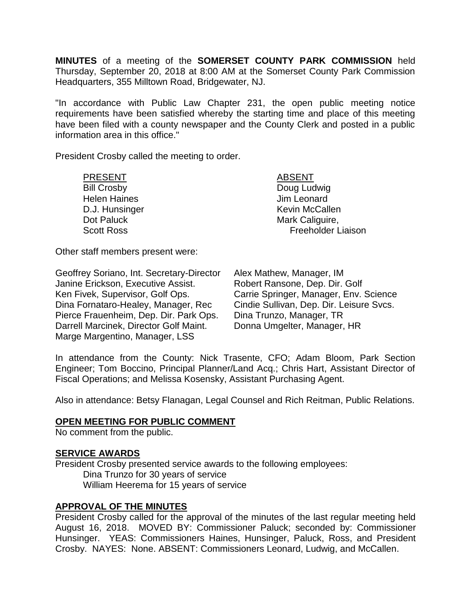**MINUTES** of a meeting of the **SOMERSET COUNTY PARK COMMISSION** held Thursday, September 20, 2018 at 8:00 AM at the Somerset County Park Commission Headquarters, 355 Milltown Road, Bridgewater, NJ.

"In accordance with Public Law Chapter 231, the open public meeting notice requirements have been satisfied whereby the starting time and place of this meeting have been filed with a county newspaper and the County Clerk and posted in a public information area in this office."

President Crosby called the meeting to order.

PRESENT ABSENT Bill Crosby **Doug Ludwig** Helen Haines **All Accords** Jim Leonard

D.J. Hunsinger News 2008 and Kevin McCallen Dot Paluck Mark Caliguire, Scott Ross **Freeholder Liaison** 

Other staff members present were:

Geoffrey Soriano, Int. Secretary-Director Janine Erickson, Executive Assist. Ken Fivek, Supervisor, Golf Ops. Dina Fornataro-Healey, Manager, Rec Pierce Frauenheim, Dep. Dir. Park Ops. Darrell Marcinek, Director Golf Maint. Marge Margentino, Manager, LSS

Alex Mathew, Manager, IM Robert Ransone, Dep. Dir. Golf Carrie Springer, Manager, Env. Science Cindie Sullivan, Dep. Dir. Leisure Svcs. Dina Trunzo, Manager, TR Donna Umgelter, Manager, HR

In attendance from the County: Nick Trasente, CFO; Adam Bloom, Park Section Engineer; Tom Boccino, Principal Planner/Land Acq.; Chris Hart, Assistant Director of Fiscal Operations; and Melissa Kosensky, Assistant Purchasing Agent.

Also in attendance: Betsy Flanagan, Legal Counsel and Rich Reitman, Public Relations.

## **OPEN MEETING FOR PUBLIC COMMENT**

No comment from the public.

### **SERVICE AWARDS**

President Crosby presented service awards to the following employees: Dina Trunzo for 30 years of service William Heerema for 15 years of service

### **APPROVAL OF THE MINUTES**

President Crosby called for the approval of the minutes of the last regular meeting held August 16, 2018. MOVED BY: Commissioner Paluck; seconded by: Commissioner Hunsinger. YEAS: Commissioners Haines, Hunsinger, Paluck, Ross, and President Crosby. NAYES: None. ABSENT: Commissioners Leonard, Ludwig, and McCallen.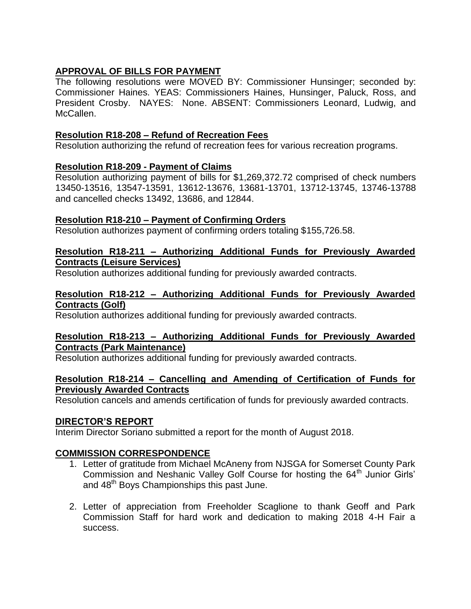# **APPROVAL OF BILLS FOR PAYMENT**

The following resolutions were MOVED BY: Commissioner Hunsinger; seconded by: Commissioner Haines. YEAS: Commissioners Haines, Hunsinger, Paluck, Ross, and President Crosby. NAYES: None. ABSENT: Commissioners Leonard, Ludwig, and McCallen.

## **Resolution R18-208 – Refund of Recreation Fees**

Resolution authorizing the refund of recreation fees for various recreation programs.

# **Resolution R18-209 - Payment of Claims**

Resolution authorizing payment of bills for \$1,269,372.72 comprised of check numbers 13450-13516, 13547-13591, 13612-13676, 13681-13701, 13712-13745, 13746-13788 and cancelled checks 13492, 13686, and 12844.

## **Resolution R18-210 – Payment of Confirming Orders**

Resolution authorizes payment of confirming orders totaling \$155,726.58.

## **Resolution R18-211 – Authorizing Additional Funds for Previously Awarded Contracts (Leisure Services)**

Resolution authorizes additional funding for previously awarded contracts.

## **Resolution R18-212 – Authorizing Additional Funds for Previously Awarded Contracts (Golf)**

Resolution authorizes additional funding for previously awarded contracts.

## **Resolution R18-213 – Authorizing Additional Funds for Previously Awarded Contracts (Park Maintenance)**

Resolution authorizes additional funding for previously awarded contracts.

## **Resolution R18-214 – Cancelling and Amending of Certification of Funds for Previously Awarded Contracts**

Resolution cancels and amends certification of funds for previously awarded contracts.

# **DIRECTOR'S REPORT**

Interim Director Soriano submitted a report for the month of August 2018.

# **COMMISSION CORRESPONDENCE**

- 1. Letter of gratitude from Michael McAneny from NJSGA for Somerset County Park Commission and Neshanic Valley Golf Course for hosting the 64<sup>th</sup> Junior Girls' and 48<sup>th</sup> Boys Championships this past June.
- 2. Letter of appreciation from Freeholder Scaglione to thank Geoff and Park Commission Staff for hard work and dedication to making 2018 4-H Fair a success.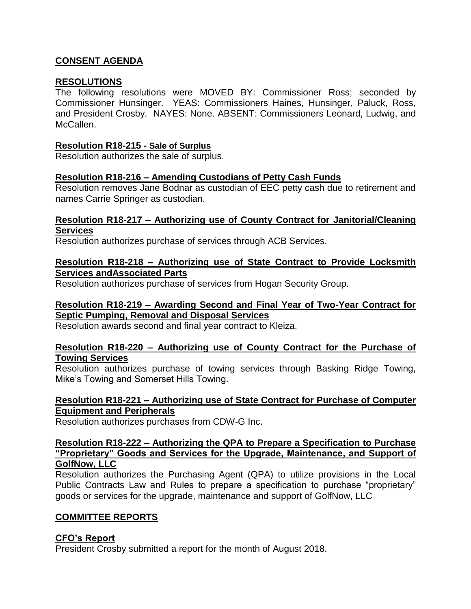## **CONSENT AGENDA**

### **RESOLUTIONS**

The following resolutions were MOVED BY: Commissioner Ross; seconded by Commissioner Hunsinger. YEAS: Commissioners Haines, Hunsinger, Paluck, Ross, and President Crosby. NAYES: None. ABSENT: Commissioners Leonard, Ludwig, and McCallen.

### **Resolution R18-215 - Sale of Surplus**

Resolution authorizes the sale of surplus.

### **Resolution R18-216 – Amending Custodians of Petty Cash Funds**

Resolution removes Jane Bodnar as custodian of EEC petty cash due to retirement and names Carrie Springer as custodian.

### **Resolution R18-217 – Authorizing use of County Contract for Janitorial/Cleaning Services**

Resolution authorizes purchase of services through ACB Services.

## **Resolution R18-218 – Authorizing use of State Contract to Provide Locksmith Services andAssociated Parts**

Resolution authorizes purchase of services from Hogan Security Group.

## **Resolution R18-219 – Awarding Second and Final Year of Two-Year Contract for Septic Pumping, Removal and Disposal Services**

Resolution awards second and final year contract to Kleiza.

### **Resolution R18-220 – Authorizing use of County Contract for the Purchase of Towing Services**

Resolution authorizes purchase of towing services through Basking Ridge Towing, Mike's Towing and Somerset Hills Towing.

### **Resolution R18-221 – Authorizing use of State Contract for Purchase of Computer Equipment and Peripherals**

Resolution authorizes purchases from CDW-G Inc.

### **Resolution R18-222 – Authorizing the QPA to Prepare a Specification to Purchase "Proprietary" Goods and Services for the Upgrade, Maintenance, and Support of GolfNow, LLC**

Resolution authorizes the Purchasing Agent (QPA) to utilize provisions in the Local Public Contracts Law and Rules to prepare a specification to purchase "proprietary" goods or services for the upgrade, maintenance and support of GolfNow, LLC

## **COMMITTEE REPORTS**

## **CFO's Report**

President Crosby submitted a report for the month of August 2018.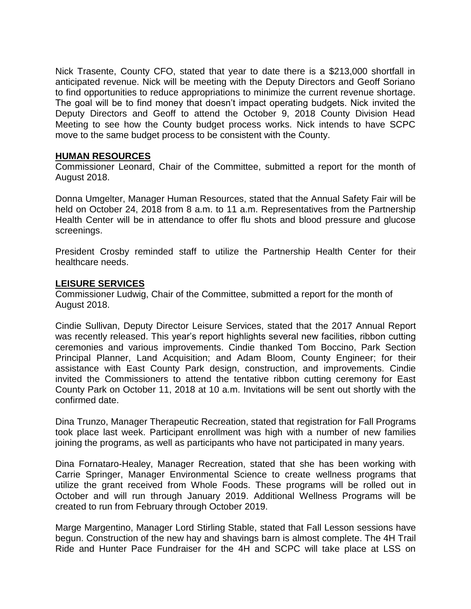Nick Trasente, County CFO, stated that year to date there is a \$213,000 shortfall in anticipated revenue. Nick will be meeting with the Deputy Directors and Geoff Soriano to find opportunities to reduce appropriations to minimize the current revenue shortage. The goal will be to find money that doesn't impact operating budgets. Nick invited the Deputy Directors and Geoff to attend the October 9, 2018 County Division Head Meeting to see how the County budget process works. Nick intends to have SCPC move to the same budget process to be consistent with the County.

## **HUMAN RESOURCES**

Commissioner Leonard, Chair of the Committee, submitted a report for the month of August 2018.

Donna Umgelter, Manager Human Resources, stated that the Annual Safety Fair will be held on October 24, 2018 from 8 a.m. to 11 a.m. Representatives from the Partnership Health Center will be in attendance to offer flu shots and blood pressure and glucose screenings.

President Crosby reminded staff to utilize the Partnership Health Center for their healthcare needs.

### **LEISURE SERVICES**

Commissioner Ludwig, Chair of the Committee, submitted a report for the month of August 2018.

Cindie Sullivan, Deputy Director Leisure Services, stated that the 2017 Annual Report was recently released. This year's report highlights several new facilities, ribbon cutting ceremonies and various improvements. Cindie thanked Tom Boccino, Park Section Principal Planner, Land Acquisition; and Adam Bloom, County Engineer; for their assistance with East County Park design, construction, and improvements. Cindie invited the Commissioners to attend the tentative ribbon cutting ceremony for East County Park on October 11, 2018 at 10 a.m. Invitations will be sent out shortly with the confirmed date.

Dina Trunzo, Manager Therapeutic Recreation, stated that registration for Fall Programs took place last week. Participant enrollment was high with a number of new families joining the programs, as well as participants who have not participated in many years.

Dina Fornataro-Healey, Manager Recreation, stated that she has been working with Carrie Springer, Manager Environmental Science to create wellness programs that utilize the grant received from Whole Foods. These programs will be rolled out in October and will run through January 2019. Additional Wellness Programs will be created to run from February through October 2019.

Marge Margentino, Manager Lord Stirling Stable, stated that Fall Lesson sessions have begun. Construction of the new hay and shavings barn is almost complete. The 4H Trail Ride and Hunter Pace Fundraiser for the 4H and SCPC will take place at LSS on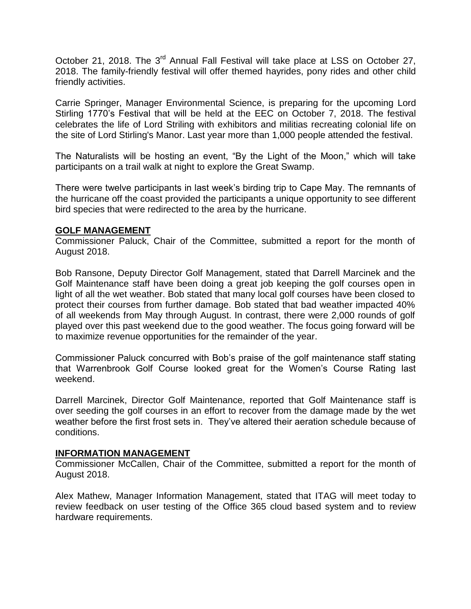October 21, 2018. The 3<sup>rd</sup> Annual Fall Festival will take place at LSS on October 27, 2018. The family-friendly festival will offer themed hayrides, pony rides and other child friendly activities.

Carrie Springer, Manager Environmental Science, is preparing for the upcoming Lord Stirling 1770's Festival that will be held at the EEC on October 7, 2018. The festival celebrates the life of Lord Striling with exhibitors and militias recreating colonial life on the site of Lord Stirling's Manor. Last year more than 1,000 people attended the festival.

The Naturalists will be hosting an event, "By the Light of the Moon," which will take participants on a trail walk at night to explore the Great Swamp.

There were twelve participants in last week's birding trip to Cape May. The remnants of the hurricane off the coast provided the participants a unique opportunity to see different bird species that were redirected to the area by the hurricane.

## **GOLF MANAGEMENT**

Commissioner Paluck, Chair of the Committee, submitted a report for the month of August 2018.

Bob Ransone, Deputy Director Golf Management, stated that Darrell Marcinek and the Golf Maintenance staff have been doing a great job keeping the golf courses open in light of all the wet weather. Bob stated that many local golf courses have been closed to protect their courses from further damage. Bob stated that bad weather impacted 40% of all weekends from May through August. In contrast, there were 2,000 rounds of golf played over this past weekend due to the good weather. The focus going forward will be to maximize revenue opportunities for the remainder of the year.

Commissioner Paluck concurred with Bob's praise of the golf maintenance staff stating that Warrenbrook Golf Course looked great for the Women's Course Rating last weekend.

Darrell Marcinek, Director Golf Maintenance, reported that Golf Maintenance staff is over seeding the golf courses in an effort to recover from the damage made by the wet weather before the first frost sets in. They've altered their aeration schedule because of conditions.

## **INFORMATION MANAGEMENT**

Commissioner McCallen, Chair of the Committee, submitted a report for the month of August 2018.

Alex Mathew, Manager Information Management, stated that ITAG will meet today to review feedback on user testing of the Office 365 cloud based system and to review hardware requirements.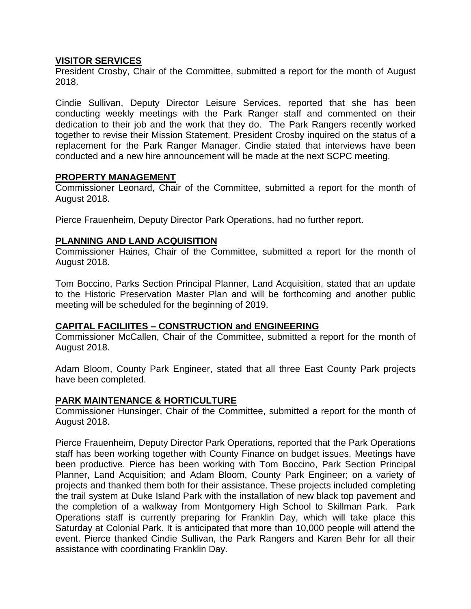## **VISITOR SERVICES**

President Crosby, Chair of the Committee, submitted a report for the month of August 2018.

Cindie Sullivan, Deputy Director Leisure Services, reported that she has been conducting weekly meetings with the Park Ranger staff and commented on their dedication to their job and the work that they do. The Park Rangers recently worked together to revise their Mission Statement. President Crosby inquired on the status of a replacement for the Park Ranger Manager. Cindie stated that interviews have been conducted and a new hire announcement will be made at the next SCPC meeting.

### **PROPERTY MANAGEMENT**

Commissioner Leonard, Chair of the Committee, submitted a report for the month of August 2018.

Pierce Frauenheim, Deputy Director Park Operations, had no further report.

## **PLANNING AND LAND ACQUISITION**

Commissioner Haines, Chair of the Committee, submitted a report for the month of August 2018.

Tom Boccino, Parks Section Principal Planner, Land Acquisition, stated that an update to the Historic Preservation Master Plan and will be forthcoming and another public meeting will be scheduled for the beginning of 2019.

## **CAPITAL FACILIITES – CONSTRUCTION and ENGINEERING**

Commissioner McCallen, Chair of the Committee, submitted a report for the month of August 2018.

Adam Bloom, County Park Engineer, stated that all three East County Park projects have been completed.

## **PARK MAINTENANCE & HORTICULTURE**

Commissioner Hunsinger, Chair of the Committee, submitted a report for the month of August 2018.

Pierce Frauenheim, Deputy Director Park Operations, reported that the Park Operations staff has been working together with County Finance on budget issues. Meetings have been productive. Pierce has been working with Tom Boccino, Park Section Principal Planner, Land Acquisition; and Adam Bloom, County Park Engineer; on a variety of projects and thanked them both for their assistance. These projects included completing the trail system at Duke Island Park with the installation of new black top pavement and the completion of a walkway from Montgomery High School to Skillman Park. Park Operations staff is currently preparing for Franklin Day, which will take place this Saturday at Colonial Park. It is anticipated that more than 10,000 people will attend the event. Pierce thanked Cindie Sullivan, the Park Rangers and Karen Behr for all their assistance with coordinating Franklin Day.